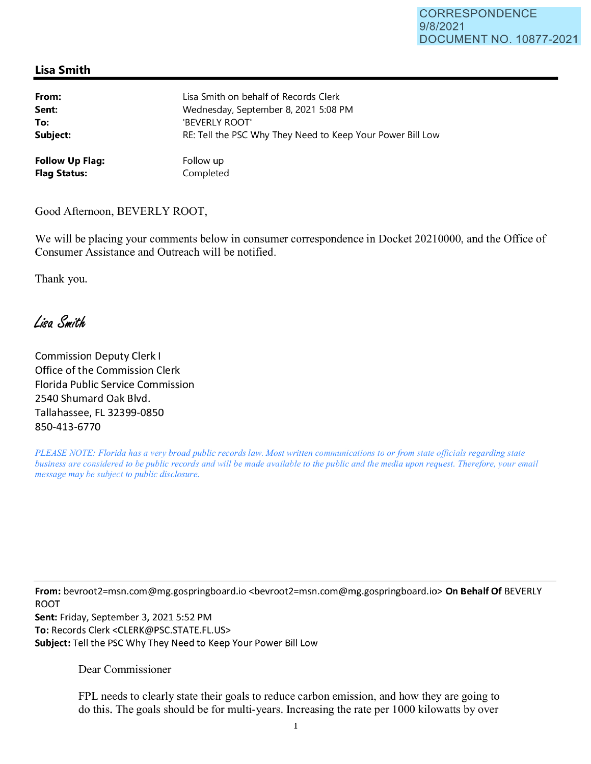## **Lisa Smith**

| From:                  | Lisa Smith on behalf of Records Clerk                      |
|------------------------|------------------------------------------------------------|
| Sent:                  | Wednesday, September 8, 2021 5:08 PM                       |
| To:                    | 'BEVERLY ROOT'                                             |
| Subject:               | RE: Tell the PSC Why They Need to Keep Your Power Bill Low |
| <b>Follow Up Flag:</b> | Follow up                                                  |
| <b>Flag Status:</b>    | Completed                                                  |

Good Afternoon, BEVERLY ROOT,

We will be placing your comments below in consumer correspondence in Docket 20210000, and the Office of Consumer Assistance and Outreach will be notified.

Thank you.

Lisa Smith

Commission Deputy Clerk I Office of the Commission Clerk Florida Public Service Commission 2540 Shumard Oak Blvd. Tallahassee, FL 32399-0850 850-413-6770

*PLEASE NOTE: Florida has a very broad public records law. Most written communications to or from state officials regarding state business are considered to be public records and will be made available to the public and the media upon request. Therefore, your email message may be subject to public disclosure.* 

**From:** bevroot2=msn.com@mg.gospringboard.io <bevroot2=msn.com@mg.gospringboard.io> **On Behalf Of** BEVERLY ROOT

**Sent:** Friday, September 3, 2021 5:52 PM **To:** Records Clerk <CLERK@PSC.STATE.FL.US> **Subject:** Tell the PSC Why They Need to Keep Your Power Bill Low

Dear Commissioner

FPL needs to clearly state their goals to reduce carbon emission, and how they are going to do this. The goals should be for multi-years. Increasing the rate per 1000 kilowatts by over